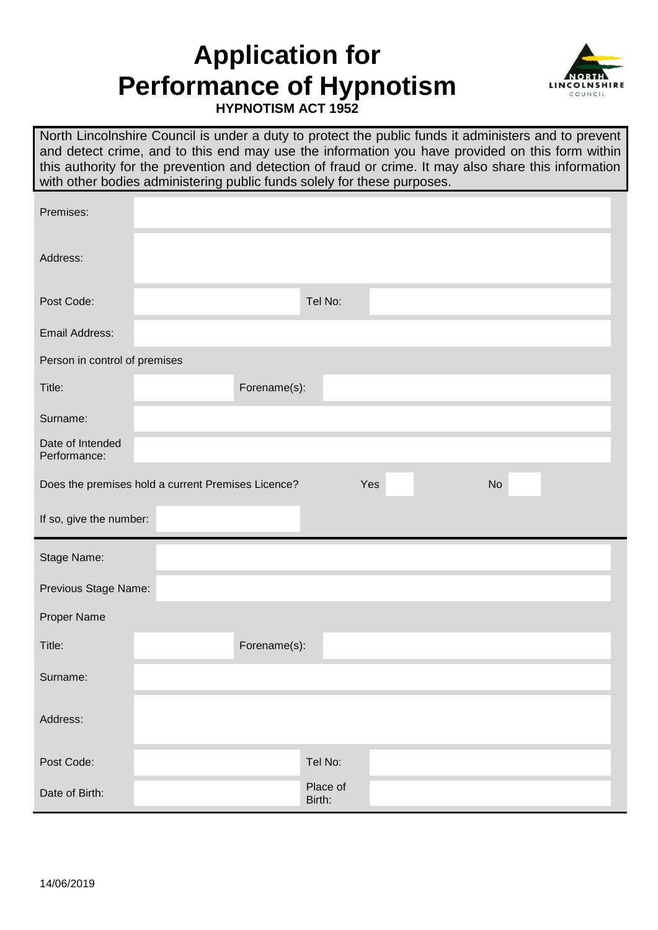## **Application for Performance of Hypnotism**



**HYPNOTISM ACT 1952**

North Lincolnshire Council is under a duty to protect the public funds it administers and to prevent and detect crime, and to this end may use the information you have provided on this form within this authority for the prevention and detection of fraud or crime. It may also share this information with other bodies administering public funds solely for these purposes.

| Premises:                                                              |              |  |  |  |  |  |  |
|------------------------------------------------------------------------|--------------|--|--|--|--|--|--|
| Address:                                                               |              |  |  |  |  |  |  |
| Post Code:                                                             | Tel No:      |  |  |  |  |  |  |
| Email Address:                                                         |              |  |  |  |  |  |  |
| Person in control of premises                                          |              |  |  |  |  |  |  |
| Title:                                                                 | Forename(s): |  |  |  |  |  |  |
| Surname:                                                               |              |  |  |  |  |  |  |
| Date of Intended<br>Performance:                                       |              |  |  |  |  |  |  |
| <b>No</b><br>Does the premises hold a current Premises Licence?<br>Yes |              |  |  |  |  |  |  |
| If so, give the number:                                                |              |  |  |  |  |  |  |
|                                                                        |              |  |  |  |  |  |  |
| Stage Name:                                                            |              |  |  |  |  |  |  |
| Previous Stage Name:                                                   |              |  |  |  |  |  |  |
| Proper Name                                                            |              |  |  |  |  |  |  |
| Title:                                                                 | Forename(s): |  |  |  |  |  |  |
| Surname:                                                               |              |  |  |  |  |  |  |
| Address:                                                               |              |  |  |  |  |  |  |
| Post Code:                                                             | Tel No:      |  |  |  |  |  |  |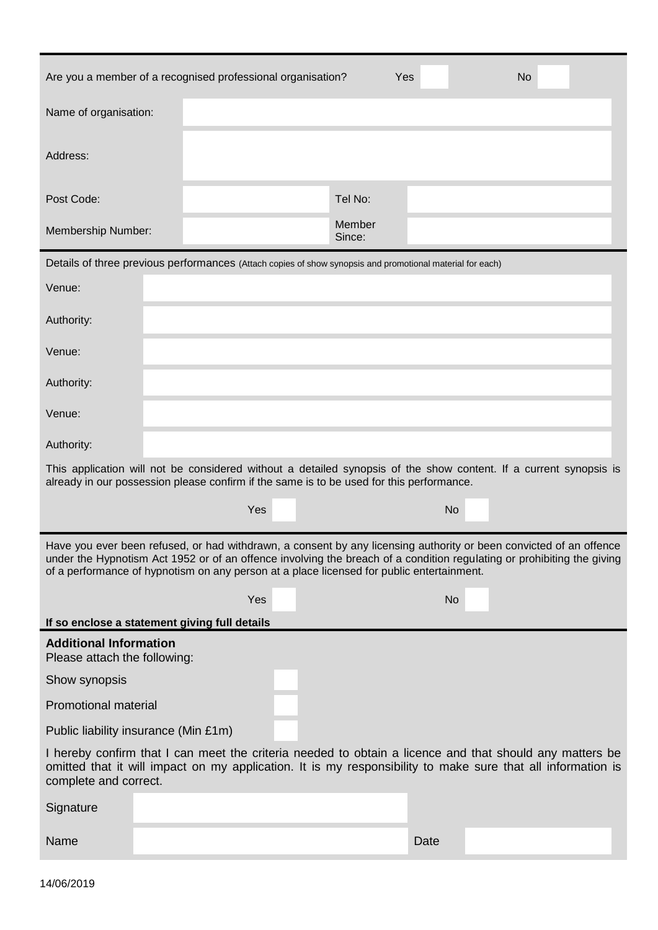| Are you a member of a recognised professional organisation?<br>Yes<br><b>No</b>                                                                                                                                                                                                                                                           |                                               |                  |           |  |  |  |  |
|-------------------------------------------------------------------------------------------------------------------------------------------------------------------------------------------------------------------------------------------------------------------------------------------------------------------------------------------|-----------------------------------------------|------------------|-----------|--|--|--|--|
| Name of organisation:                                                                                                                                                                                                                                                                                                                     |                                               |                  |           |  |  |  |  |
| Address:                                                                                                                                                                                                                                                                                                                                  |                                               |                  |           |  |  |  |  |
| Post Code:                                                                                                                                                                                                                                                                                                                                |                                               | Tel No:          |           |  |  |  |  |
| Membership Number:                                                                                                                                                                                                                                                                                                                        |                                               | Member<br>Since: |           |  |  |  |  |
| Details of three previous performances (Attach copies of show synopsis and promotional material for each)                                                                                                                                                                                                                                 |                                               |                  |           |  |  |  |  |
| Venue:                                                                                                                                                                                                                                                                                                                                    |                                               |                  |           |  |  |  |  |
| Authority:                                                                                                                                                                                                                                                                                                                                |                                               |                  |           |  |  |  |  |
| Venue:                                                                                                                                                                                                                                                                                                                                    |                                               |                  |           |  |  |  |  |
| Authority:                                                                                                                                                                                                                                                                                                                                |                                               |                  |           |  |  |  |  |
| Venue:                                                                                                                                                                                                                                                                                                                                    |                                               |                  |           |  |  |  |  |
| Authority:                                                                                                                                                                                                                                                                                                                                |                                               |                  |           |  |  |  |  |
| This application will not be considered without a detailed synopsis of the show content. If a current synopsis is<br>already in our possession please confirm if the same is to be used for this performance.                                                                                                                             |                                               |                  |           |  |  |  |  |
|                                                                                                                                                                                                                                                                                                                                           | Yes                                           |                  | <b>No</b> |  |  |  |  |
| Have you ever been refused, or had withdrawn, a consent by any licensing authority or been convicted of an offence<br>under the Hypnotism Act 1952 or of an offence involving the breach of a condition regulating or prohibiting the giving<br>of a performance of hypnotism on any person at a place licensed for public entertainment. |                                               |                  |           |  |  |  |  |
|                                                                                                                                                                                                                                                                                                                                           | Yes                                           |                  | <b>No</b> |  |  |  |  |
|                                                                                                                                                                                                                                                                                                                                           | If so enclose a statement giving full details |                  |           |  |  |  |  |
| <b>Additional Information</b><br>Please attach the following:                                                                                                                                                                                                                                                                             |                                               |                  |           |  |  |  |  |
| Show synopsis                                                                                                                                                                                                                                                                                                                             |                                               |                  |           |  |  |  |  |
| <b>Promotional material</b>                                                                                                                                                                                                                                                                                                               |                                               |                  |           |  |  |  |  |
| Public liability insurance (Min £1m)                                                                                                                                                                                                                                                                                                      |                                               |                  |           |  |  |  |  |
| I hereby confirm that I can meet the criteria needed to obtain a licence and that should any matters be<br>omitted that it will impact on my application. It is my responsibility to make sure that all information is<br>complete and correct.                                                                                           |                                               |                  |           |  |  |  |  |
| Signature                                                                                                                                                                                                                                                                                                                                 |                                               |                  |           |  |  |  |  |
| Name                                                                                                                                                                                                                                                                                                                                      |                                               |                  | Date      |  |  |  |  |